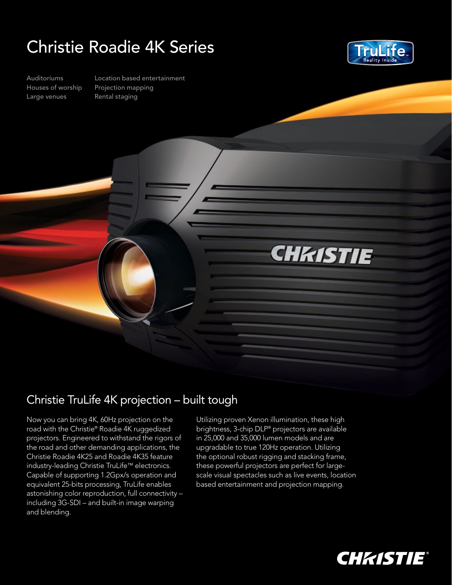## Christie Roadie 4K Series



Auditoriums Houses of worship Large venues

Location based entertainment Projection mapping Rental staging



## Christie TruLife 4K projection – built tough

Now you can bring 4K, 60Hz projection on the road with the Christie® Roadie 4K ruggedized projectors. Engineered to withstand the rigors of the road and other demanding applications, the Christie Roadie 4K25 and Roadie 4K35 feature industry-leading Christie TruLife™ electronics. Capable of supporting 1.2Gpx/s operation and equivalent 25-bits processing, TruLife enables astonishing color reproduction, full connectivity – including 3G-SDI – and built-in image warping and blending.

Utilizing proven Xenon illumination, these high brightness, 3-chip DLP® projectors are available in 25,000 and 35,000 lumen models and are upgradable to true 120Hz operation. Utilizing the optional robust rigging and stacking frame, these powerful projectors are perfect for largescale visual spectacles such as live events, location based entertainment and projection mapping.